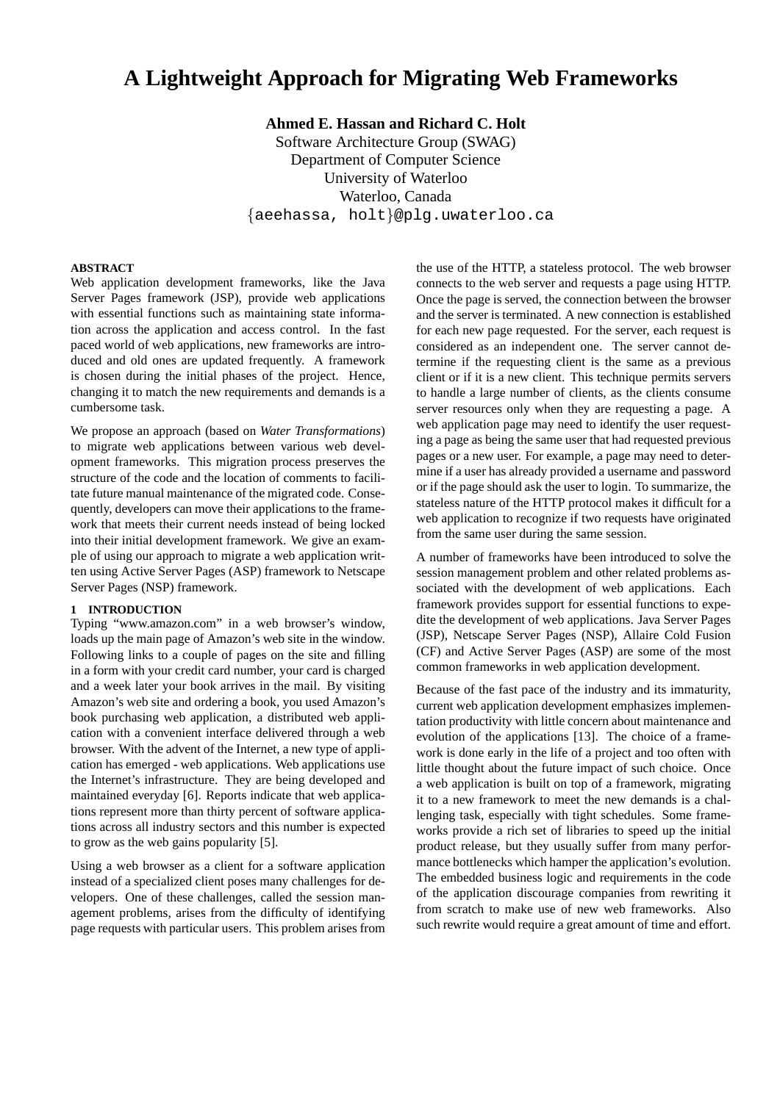# **A Lightweight Approach for Migrating Web Frameworks**

**Ahmed E. Hassan and Richard C. Holt** Software Architecture Group (SWAG) Department of Computer Science University of Waterloo Waterloo, Canada {aeehassa, holt}@plg.uwaterloo.ca

# **ABSTRACT**

Web application development frameworks, like the Java Server Pages framework (JSP), provide web applications with essential functions such as maintaining state information across the application and access control. In the fast paced world of web applications, new frameworks are introduced and old ones are updated frequently. A framework is chosen during the initial phases of the project. Hence, changing it to match the new requirements and demands is a cumbersome task.

We propose an approach (based on *Water Transformations*) to migrate web applications between various web development frameworks. This migration process preserves the structure of the code and the location of comments to facilitate future manual maintenance of the migrated code. Consequently, developers can move their applications to the framework that meets their current needs instead of being locked into their initial development framework. We give an example of using our approach to migrate a web application written using Active Server Pages (ASP) framework to Netscape Server Pages (NSP) framework.

# **1 INTRODUCTION**

Typing "www.amazon.com" in a web browser's window, loads up the main page of Amazon's web site in the window. Following links to a couple of pages on the site and filling in a form with your credit card number, your card is charged and a week later your book arrives in the mail. By visiting Amazon's web site and ordering a book, you used Amazon's book purchasing web application, a distributed web application with a convenient interface delivered through a web browser. With the advent of the Internet, a new type of application has emerged - web applications. Web applications use the Internet's infrastructure. They are being developed and maintained everyday [6]. Reports indicate that web applications represent more than thirty percent of software applications across all industry sectors and this number is expected to grow as the web gains popularity [5].

Using a web browser as a client for a software application instead of a specialized client poses many challenges for developers. One of these challenges, called the session management problems, arises from the difficulty of identifying page requests with particular users. This problem arises from

the use of the HTTP, a stateless protocol. The web browser connects to the web server and requests a page using HTTP. Once the page is served, the connection between the browser and the server is terminated. A new connection is established for each new page requested. For the server, each request is considered as an independent one. The server cannot determine if the requesting client is the same as a previous client or if it is a new client. This technique permits servers to handle a large number of clients, as the clients consume server resources only when they are requesting a page. A web application page may need to identify the user requesting a page as being the same user that had requested previous pages or a new user. For example, a page may need to determine if a user has already provided a username and password or if the page should ask the user to login. To summarize, the stateless nature of the HTTP protocol makes it difficult for a web application to recognize if two requests have originated from the same user during the same session.

A number of frameworks have been introduced to solve the session management problem and other related problems associated with the development of web applications. Each framework provides support for essential functions to expedite the development of web applications. Java Server Pages (JSP), Netscape Server Pages (NSP), Allaire Cold Fusion (CF) and Active Server Pages (ASP) are some of the most common frameworks in web application development.

Because of the fast pace of the industry and its immaturity, current web application development emphasizes implementation productivity with little concern about maintenance and evolution of the applications [13]. The choice of a framework is done early in the life of a project and too often with little thought about the future impact of such choice. Once a web application is built on top of a framework, migrating it to a new framework to meet the new demands is a challenging task, especially with tight schedules. Some frameworks provide a rich set of libraries to speed up the initial product release, but they usually suffer from many performance bottlenecks which hamper the application's evolution. The embedded business logic and requirements in the code of the application discourage companies from rewriting it from scratch to make use of new web frameworks. Also such rewrite would require a great amount of time and effort.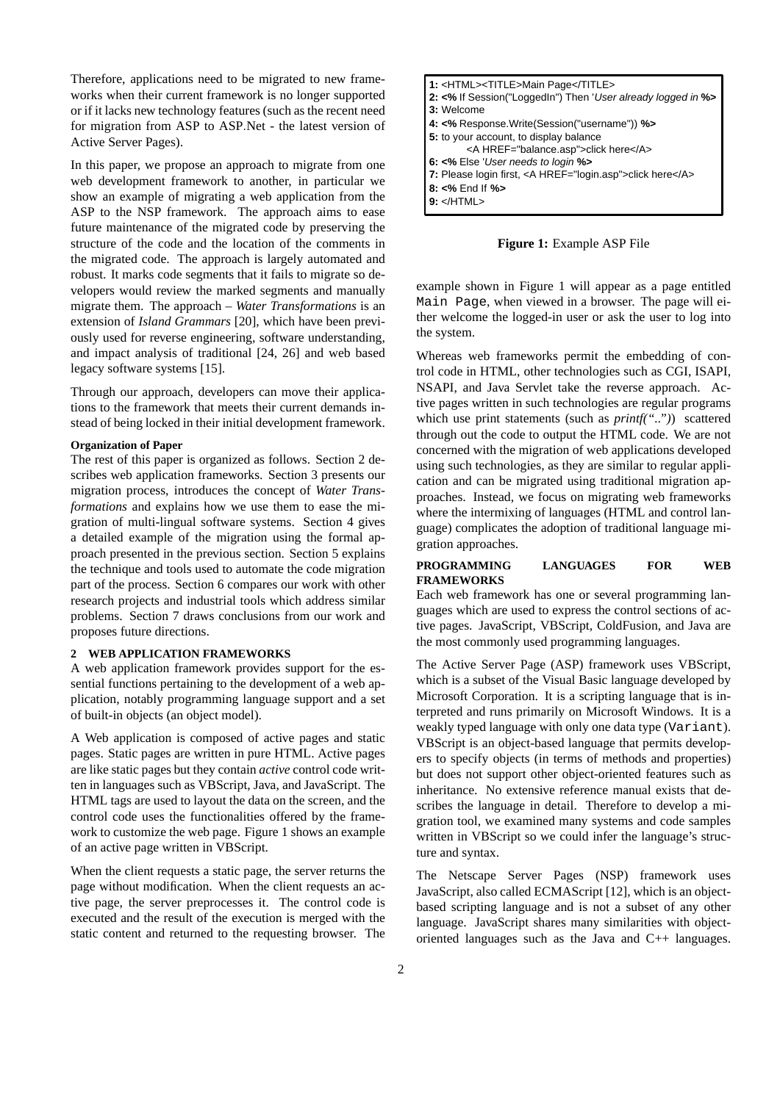Therefore, applications need to be migrated to new frameworks when their current framework is no longer supported or if it lacks new technology features (such as the recent need for migration from ASP to ASP.Net - the latest version of Active Server Pages).

In this paper, we propose an approach to migrate from one web development framework to another, in particular we show an example of migrating a web application from the ASP to the NSP framework. The approach aims to ease future maintenance of the migrated code by preserving the structure of the code and the location of the comments in the migrated code. The approach is largely automated and robust. It marks code segments that it fails to migrate so developers would review the marked segments and manually migrate them. The approach – *Water Transformations* is an extension of *Island Grammars* [20], which have been previously used for reverse engineering, software understanding, and impact analysis of traditional [24, 26] and web based legacy software systems [15]. static vice and returned to the returned to the returned to the rest of the rest of the rest of the rest of the rest of the rest of the rest of the rest of the rest of the rest of the rest of the rest of the rest of the r

Through our approach, developers can move their applications to the framework that meets their current demands instead of being locked in their initial development framework.

#### **Organization of Paper**

The rest of this paper is organized as follows. Section 2 describes web application frameworks. Section 3 presents our migration process, introduces the concept of *Water Transformations* and explains how we use them to ease the migration of multi-lingual software systems. Section 4 gives a detailed example of the migration using the formal approach presented in the previous section. Section 5 explains the technique and tools used to automate the code migration part of the process. Section 6 compares our work with other research projects and industrial tools which address similar problems. Section 7 draws conclusions from our work and proposes future directions.

#### **2 WEB APPLICATION FRAMEWORKS**

A web application framework provides support for the essential functions pertaining to the development of a web application, notably programming language support and a set of built-in objects (an object model).

A Web application is composed of active pages and static pages. Static pages are written in pure HTML. Active pages are like static pages but they contain *active* control code written in languages such as VBScript, Java, and JavaScript. The HTML tags are used to layout the data on the screen, and the control code uses the functionalities offered by the framework to customize the web page. Figure 1 shows an example of an active page written in VBScript.

When the client requests a static page, the server returns the page without modification. When the client requests an active page, the server preprocesses it. The control code is executed and the result of the execution is merged with the

| 1: <html><title>Main Page</title></html>                                                        |
|-------------------------------------------------------------------------------------------------|
| 2: <% If Session("LoggedIn") Then 'User already logged in %>                                    |
| 3: Welcome                                                                                      |
| 4: <% Response.Write(Session("username")) %><br>5: to your account, to display balance          |
|                                                                                                 |
| <a href="balance.asp">click here</a>                                                            |
| 6: <% Else 'User needs to login %><br>7: Please login first, <a href="login.asp">click here</a> |
|                                                                                                 |
| 8: <% End If %>                                                                                 |
| 9:                                                                                              |
|                                                                                                 |

**Figure 1:** Example ASP File

example shown in Figure 1 will appear as a page entitled Main Page, when viewed in a browser. The page will either welcome the logged-in user or ask the user to log into the system.

Whereas web frameworks permit the embedding of control code in HTML, other technologies such as CGI, ISAPI, NSAPI, and Java Servlet take the reverse approach. Active pages written in such technologies are regular programs which use print statements (such as *printf("..")*) scattered through out the code to output the HTML code. We are not concerned with the migration of web applications developed using such technologies, as they are similar to regular application and can be migrated using traditional migration approaches. Instead, we focus on migrating web frameworks where the intermixing of languages (HTML and control language) complicates the adoption of traditional language migration approaches.

## **PROGRAMMING LANGUAGES FOR WEB FRAMEWORKS**

Each web framework has one or several programming languages which are used to express the control sections of active pages. JavaScript, VBScript, ColdFusion, and Java are the most commonly used programming languages.

The Active Server Page (ASP) framework uses VBScript, which is a subset of the Visual Basic language developed by Microsoft Corporation. It is a scripting language that is interpreted and runs primarily on Microsoft Windows. It is a weakly typed language with only one data type (Variant). VBScript is an object-based language that permits developers to specify objects (in terms of methods and properties) but does not support other object-oriented features such as inheritance. No extensive reference manual exists that describes the language in detail. Therefore to develop a migration tool, we examined many systems and code samples written in VBScript so we could infer the language's structure and syntax.

The Netscape Server Pages (NSP) framework uses JavaScript, also called ECMAScript [12], which is an objectbased scripting language and is not a subset of any other language. JavaScript shares many similarities with objectoriented languages such as the Java and C++ languages.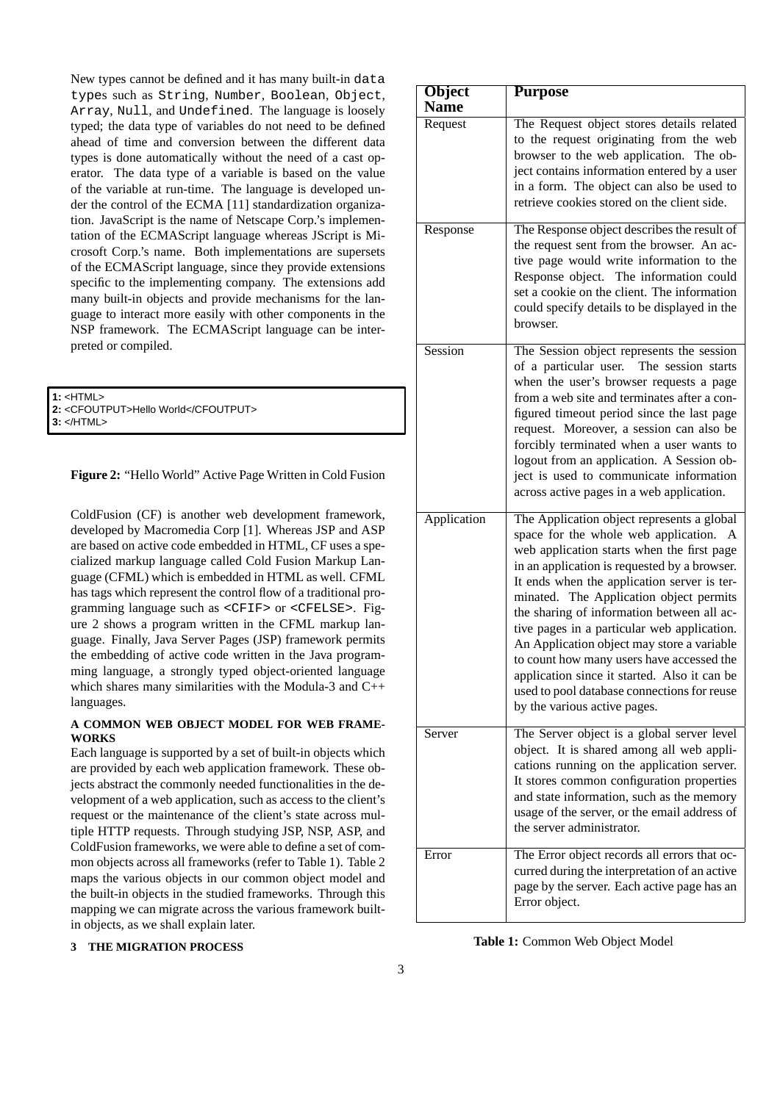New types cannot be defined and it has many built-in data types such as String, Number, Boolean, Object, Array, Null, and Undefined. The language is loosely typed; the data type of variables do not need to be defined ahead of time and conversion between the different data types is done automatically without the need of a cast operator. The data type of a variable is based on the value of the variable at run-time. The language is developed under the control of the ECMA [11] standardization organization. JavaScript is the name of Netscape Corp.'s implementation of the ECMAScript language whereas JScript is Microsoft Corp.'s name. Both implementations are supersets of the ECMAScript language, since they provide extensions specific to the implementing company. The extensions add many built-in objects and provide mechanisms for the language to interact more easily with other components in the NSP framework. The ECMAScript language can be interpreted or compiled.

**1:** <HTML> **2:** <CFOUTPUT>Hello World</CFOUTPUT> **3:** </HTML>

**Figure 2:** "Hello World" Active Page Written in Cold Fusion

ColdFusion (CF) is another web development framework, developed by Macromedia Corp [1]. Whereas JSP and ASP are based on active code embedded in HTML, CF uses a specialized markup language called Cold Fusion Markup Language (CFML) which is embedded in HTML as well. CFML has tags which represent the control flow of a traditional programming language such as <CFIF> or <CFELSE>. Figure 2 shows a program written in the CFML markup language. Finally, Java Server Pages (JSP) framework permits the embedding of active code written in the Java programming language, a strongly typed object-oriented language which shares many similarities with the Modula-3 and C++ languages.

# **A COMMON WEB OBJECT MODEL FOR WEB FRAME-WORKS**

Each language is supported by a set of built-in objects which are provided by each web application framework. These objects abstract the commonly needed functionalities in the development of a web application, such as access to the client's request or the maintenance of the client's state across multiple HTTP requests. Through studying JSP, NSP, ASP, and ColdFusion frameworks, we were able to define a set of common objects across all frameworks (refer to Table 1). Table 2 maps the various objects in our common object model and the built-in objects in the studied frameworks. Through this mapping we can migrate across the various framework builtin objects, as we shall explain later.

# **3 THE MIGRATION PROCESS**

| <b>Object</b><br><b>Name</b> | <b>Purpose</b>                                                                                                                                                                                                                                                                                                                                                                                                                                                                                                                                                                                      |
|------------------------------|-----------------------------------------------------------------------------------------------------------------------------------------------------------------------------------------------------------------------------------------------------------------------------------------------------------------------------------------------------------------------------------------------------------------------------------------------------------------------------------------------------------------------------------------------------------------------------------------------------|
| Request                      | The Request object stores details related<br>to the request originating from the web<br>browser to the web application. The ob-<br>ject contains information entered by a user<br>in a form. The object can also be used to<br>retrieve cookies stored on the client side.                                                                                                                                                                                                                                                                                                                          |
| Response                     | The Response object describes the result of<br>the request sent from the browser. An ac-<br>tive page would write information to the<br>Response object. The information could<br>set a cookie on the client. The information<br>could specify details to be displayed in the<br>browser.                                                                                                                                                                                                                                                                                                           |
| Session                      | The Session object represents the session<br>of a particular user.<br>The session starts<br>when the user's browser requests a page<br>from a web site and terminates after a con-<br>figured timeout period since the last page<br>request. Moreover, a session can also be<br>forcibly terminated when a user wants to<br>logout from an application. A Session ob-<br>ject is used to communicate information<br>across active pages in a web application.                                                                                                                                       |
| Application                  | The Application object represents a global<br>space for the whole web application. A<br>web application starts when the first page<br>in an application is requested by a browser.<br>It ends when the application server is ter-<br>minated. The Application object permits<br>the sharing of information between all ac-<br>tive pages in a particular web application.<br>An Application object may store a variable<br>to count how many users have accessed the<br>application since it started. Also it can be<br>used to pool database connections for reuse<br>by the various active pages. |
| Server                       | The Server object is a global server level<br>object. It is shared among all web appli-<br>cations running on the application server.<br>It stores common configuration properties<br>and state information, such as the memory<br>usage of the server, or the email address of<br>the server administrator.                                                                                                                                                                                                                                                                                        |
| Error                        | The Error object records all errors that oc-<br>curred during the interpretation of an active<br>page by the server. Each active page has an<br>Error object.                                                                                                                                                                                                                                                                                                                                                                                                                                       |

**Table 1:** Common Web Object Model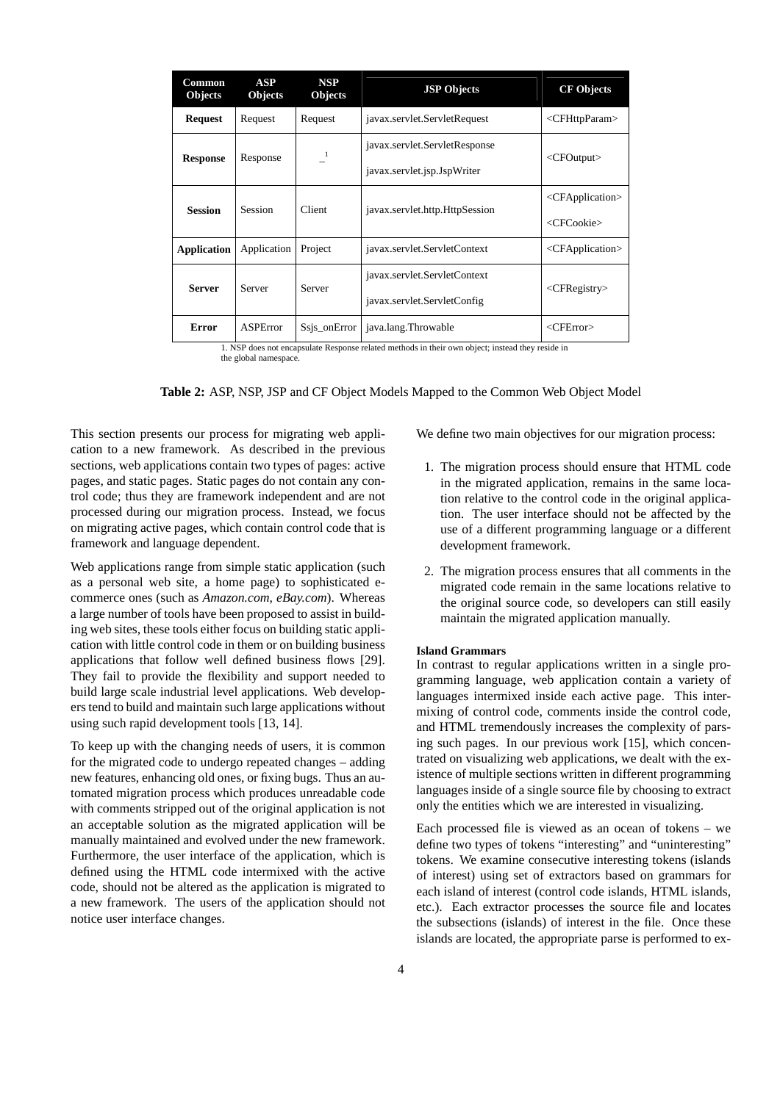| <b>Common</b><br><b>Objects</b>                                                                  | <b>ASP</b><br><b>Objects</b> | <b>NSP</b><br><b>Objects</b> | <b>JSP</b> Objects             | <b>CF</b> Objects               |  |
|--------------------------------------------------------------------------------------------------|------------------------------|------------------------------|--------------------------------|---------------------------------|--|
| <b>Request</b>                                                                                   | Request                      | Request                      | javax.servlet.ServletRequest   | <cfhttpparam></cfhttpparam>     |  |
| <b>Response</b>                                                                                  | Response                     |                              | javax.servlet.ServletResponse  | $\langle$ CFOutput $\rangle$    |  |
|                                                                                                  |                              |                              | javax.servlet.jsp.JspWriter    |                                 |  |
| <b>Session</b>                                                                                   | Session                      | Client                       | javax.servlet.http.HttpSession | <cfapplication></cfapplication> |  |
|                                                                                                  |                              |                              |                                | <cfcookie></cfcookie>           |  |
| <b>Application</b>                                                                               | Application                  | Project                      | javax.servlet.ServletContext   | <cfapplication></cfapplication> |  |
| Server                                                                                           | Server                       | Server                       | javax.servlet.ServletContext   | $\langle CFR$ egistry>          |  |
|                                                                                                  |                              |                              | javax.servlet.ServletConfig    |                                 |  |
| <b>Error</b>                                                                                     | ASPError                     | Ssis onError                 | java.lang.Throwable            | $\langle$ CFError $>$           |  |
| 1. NSP does not encapsulate Response related methods in their own object; instead they reside in |                              |                              |                                |                                 |  |

the global namespace.

**Table 2:** ASP, NSP, JSP and CF Object Models Mapped to the Common Web Object Model

This section presents our process for migrating web application to a new framework. As described in the previous sections, web applications contain two types of pages: active pages, and static pages. Static pages do not contain any control code; thus they are framework independent and are not processed during our migration process. Instead, we focus on migrating active pages, which contain control code that is framework and language dependent.

Web applications range from simple static application (such as a personal web site, a home page) to sophisticated ecommerce ones (such as *Amazon.com*, *eBay.com*). Whereas a large number of tools have been proposed to assist in building web sites, these tools either focus on building static application with little control code in them or on building business applications that follow well defined business flows [29]. They fail to provide the flexibility and support needed to build large scale industrial level applications. Web developers tend to build and maintain such large applications without using such rapid development tools [13, 14].

To keep up with the changing needs of users, it is common for the migrated code to undergo repeated changes – adding new features, enhancing old ones, or fixing bugs. Thus an automated migration process which produces unreadable code with comments stripped out of the original application is not an acceptable solution as the migrated application will be manually maintained and evolved under the new framework. Furthermore, the user interface of the application, which is defined using the HTML code intermixed with the active code, should not be altered as the application is migrated to a new framework. The users of the application should not notice user interface changes.

We define two main objectives for our migration process:

- 1. The migration process should ensure that HTML code in the migrated application, remains in the same location relative to the control code in the original application. The user interface should not be affected by the use of a different programming language or a different development framework.
- 2. The migration process ensures that all comments in the migrated code remain in the same locations relative to the original source code, so developers can still easily maintain the migrated application manually.

#### **Island Grammars**

In contrast to regular applications written in a single programming language, web application contain a variety of languages intermixed inside each active page. This intermixing of control code, comments inside the control code, and HTML tremendously increases the complexity of parsing such pages. In our previous work [15], which concentrated on visualizing web applications, we dealt with the existence of multiple sections written in different programming languages inside of a single source file by choosing to extract only the entities which we are interested in visualizing.

Each processed file is viewed as an ocean of tokens – we define two types of tokens "interesting" and "uninteresting" tokens. We examine consecutive interesting tokens (islands of interest) using set of extractors based on grammars for each island of interest (control code islands, HTML islands, etc.). Each extractor processes the source file and locates the subsections (islands) of interest in the file. Once these islands are located, the appropriate parse is performed to ex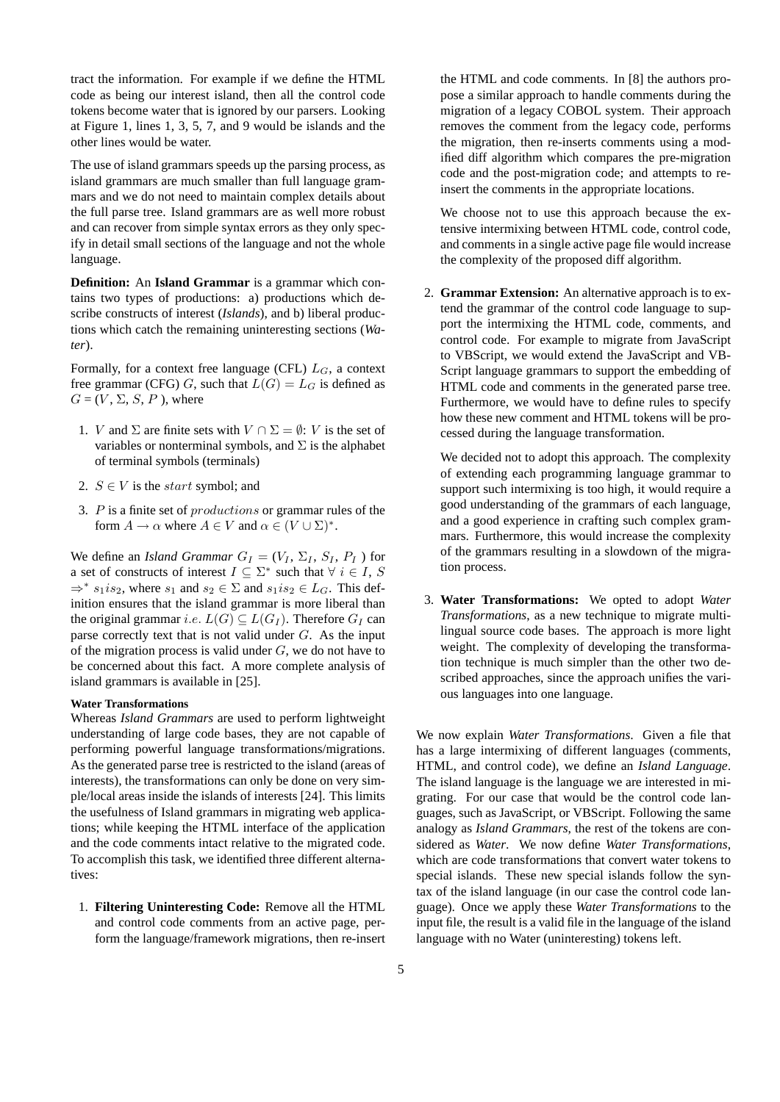tract the information. For example if we define the HTML code as being our interest island, then all the control code tokens become water that is ignored by our parsers. Looking at Figure 1, lines 1, 3, 5, 7, and 9 would be islands and the other lines would be water.

The use of island grammars speeds up the parsing process, as island grammars are much smaller than full language grammars and we do not need to maintain complex details about the full parse tree. Island grammars are as well more robust and can recover from simple syntax errors as they only specify in detail small sections of the language and not the whole language.

**Definition:** An **Island Grammar** is a grammar which contains two types of productions: a) productions which describe constructs of interest (*Islands*), and b) liberal productions which catch the remaining uninteresting sections (*Water*).

Formally, for a context free language (CFL)  $L_G$ , a context free grammar (CFG) G, such that  $L(G) = L_G$  is defined as  $G = (V, \Sigma, S, P)$ , where

- 1. *V* and  $\Sigma$  are finite sets with  $V \cap \Sigma = \emptyset$ : *V* is the set of variables or nonterminal symbols, and  $\Sigma$  is the alphabet of terminal symbols (terminals)
- 2.  $S \in V$  is the *start* symbol; and
- 3. P is a finite set of productions or grammar rules of the form  $A \to \alpha$  where  $A \in V$  and  $\alpha \in (V \cup \Sigma)^*$ .

We define an *Island Grammar*  $G_I = (V_I, \Sigma_I, S_I, P_I)$  for a set of constructs of interest  $I \subseteq \Sigma^*$  such that  $\forall i \in I$ , S  $\Rightarrow$  \*  $s_1$ *is*<sub>2</sub>, where  $s_1$  and  $s_2 \in \Sigma$  and  $s_1$ *is*<sub>2</sub>  $\in L_G$ . This definition ensures that the island grammar is more liberal than the original grammar *i.e.*  $L(G) \subseteq L(G_I)$ . Therefore  $G_I$  can parse correctly text that is not valid under G. As the input of the migration process is valid under  $G$ , we do not have to be concerned about this fact. A more complete analysis of island grammars is available in [25].

#### **Water Transformations**

Whereas *Island Grammars* are used to perform lightweight understanding of large code bases, they are not capable of performing powerful language transformations/migrations. As the generated parse tree is restricted to the island (areas of interests), the transformations can only be done on very simple/local areas inside the islands of interests [24]. This limits the usefulness of Island grammars in migrating web applications; while keeping the HTML interface of the application and the code comments intact relative to the migrated code. To accomplish this task, we identified three different alternatives:

1. **Filtering Uninteresting Code:** Remove all the HTML and control code comments from an active page, perform the language/framework migrations, then re-insert the HTML and code comments. In [8] the authors propose a similar approach to handle comments during the migration of a legacy COBOL system. Their approach removes the comment from the legacy code, performs the migration, then re-inserts comments using a modified diff algorithm which compares the pre-migration code and the post-migration code; and attempts to reinsert the comments in the appropriate locations.

We choose not to use this approach because the extensive intermixing between HTML code, control code, and comments in a single active page file would increase the complexity of the proposed diff algorithm.

2. **Grammar Extension:** An alternative approach is to extend the grammar of the control code language to support the intermixing the HTML code, comments, and control code. For example to migrate from JavaScript to VBScript, we would extend the JavaScript and VB-Script language grammars to support the embedding of HTML code and comments in the generated parse tree. Furthermore, we would have to define rules to specify how these new comment and HTML tokens will be processed during the language transformation.

We decided not to adopt this approach. The complexity of extending each programming language grammar to support such intermixing is too high, it would require a good understanding of the grammars of each language, and a good experience in crafting such complex grammars. Furthermore, this would increase the complexity of the grammars resulting in a slowdown of the migration process.

3. **Water Transformations:** We opted to adopt *Water Transformations*, as a new technique to migrate multilingual source code bases. The approach is more light weight. The complexity of developing the transformation technique is much simpler than the other two described approaches, since the approach unifies the various languages into one language.

We now explain *Water Transformations*. Given a file that has a large intermixing of different languages (comments, HTML, and control code), we define an *Island Language*. The island language is the language we are interested in migrating. For our case that would be the control code languages, such as JavaScript, or VBScript. Following the same analogy as *Island Grammars*, the rest of the tokens are considered as *Water*. We now define *Water Transformations*, which are code transformations that convert water tokens to special islands. These new special islands follow the syntax of the island language (in our case the control code language). Once we apply these *Water Transformations* to the input file, the result is a valid file in the language of the island language with no Water (uninteresting) tokens left.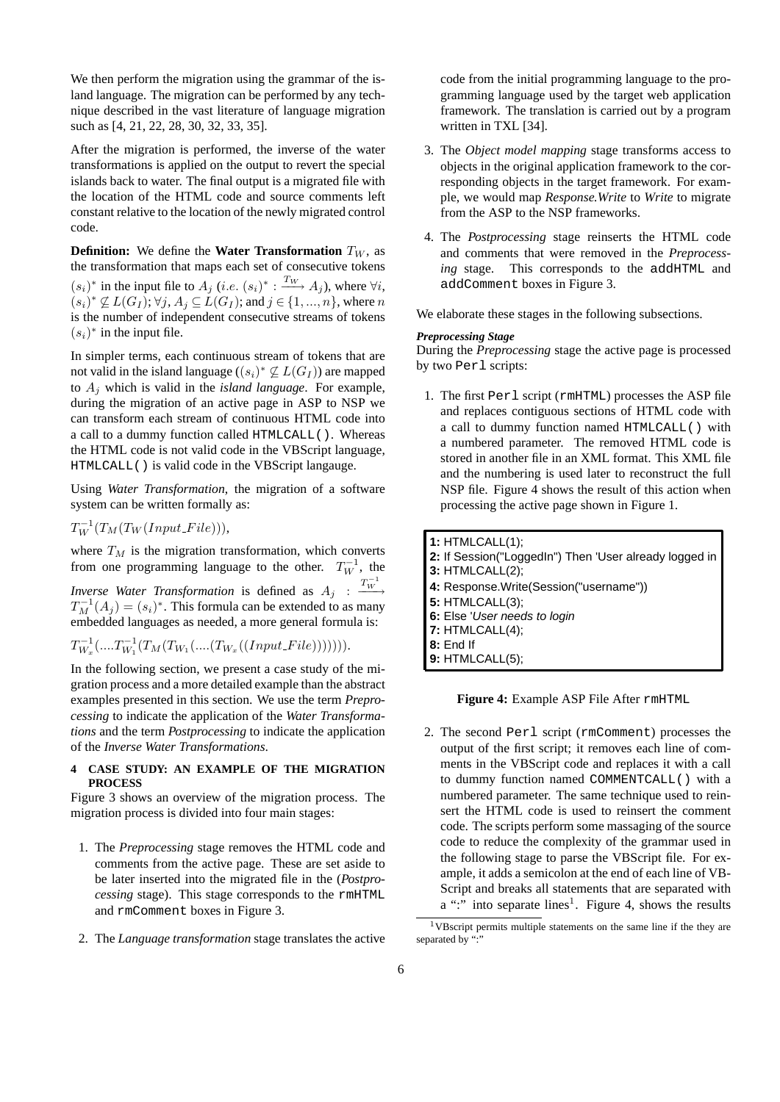We then perform the migration using the grammar of the island language. The migration can be performed by any technique described in the vast literature of language migration such as [4, 21, 22, 28, 30, 32, 33, 35].

After the migration is performed, the inverse of the water transformations is applied on the output to revert the special islands back to water. The final output is a migrated file with the location of the HTML code and source comments left constant relative to the location of the newly migrated control code.

**Definition:** We define the **Water Transformation**  $T_W$ , as the transformation that maps each set of consecutive tokens  $(s_i)^*$  in the input file to  $A_j$   $(i.e.$   $(s_i)^* : \xrightarrow{T_W} A_j$ , where  $\forall i$ ,  $(s_i)^* \nsubseteq L(G_I); \forall j, A_j \subseteq L(G_I);$  and  $j \in \{1, ..., n\}$ , where n is the number of independent consecutive streams of tokens  $(s_i)^*$  in the input file.

In simpler terms, each continuous stream of tokens that are not valid in the island language  $((s_i)^* \not\subseteq L(G_I))$  are mapped to A<sup>j</sup> which is valid in the *island language*. For example, during the migration of an active page in ASP to NSP we can transform each stream of continuous HTML code into a call to a dummy function called HTMLCALL(). Whereas the HTML code is not valid code in the VBScript language, HTMLCALL() is valid code in the VBScript langauge.

Using *Water Transformation*, the migration of a software system can be written formally as:

$$
T_W^{-1}(T_M(T_W(Input\_File))),
$$

where  $T_M$  is the migration transformation, which converts from one programming language to the other.  $T_W^{-1}$ , the *Inverse Water Transformation* is defined as  $A_j$  :  $\frac{T_{W}^{-1}}{W}$  $T_M^{-1}(A_j) = (s_i)^*$ . This formula can be extended to as many embedded languages as needed, a more general formula is:

 $T_{W_x}^{-1}(\ldots T_{W_1}^{-1}(T_M(T_{W_1}(\ldots(T_{W_x}((Input\_File)))))))).$ 

In the following section, we present a case study of the migration process and a more detailed example than the abstract examples presented in this section. We use the term *Preprocessing* to indicate the application of the *Water Transformations* and the term *Postprocessing* to indicate the application of the *Inverse Water Transformations*.

# **4 CASE STUDY: AN EXAMPLE OF THE MIGRATION PROCESS**

Figure 3 shows an overview of the migration process. The migration process is divided into four main stages:

- 1. The *Preprocessing* stage removes the HTML code and comments from the active page. These are set aside to be later inserted into the migrated file in the (*Postprocessing* stage). This stage corresponds to the rmHTML and rmComment boxes in Figure 3.
- 2. The *Language transformation* stage translates the active

code from the initial programming language to the programming language used by the target web application framework. The translation is carried out by a program written in TXL [34].

- 3. The *Object model mapping* stage transforms access to objects in the original application framework to the corresponding objects in the target framework. For example, we would map *Response.Write* to *Write* to migrate from the ASP to the NSP frameworks.
- 4. The *Postprocessing* stage reinserts the HTML code and comments that were removed in the *Preprocessing* stage. This corresponds to the addHTML and addComment boxes in Figure 3.

We elaborate these stages in the following subsections.

#### *Preprocessing Stage*

During the *Preprocessing* stage the active page is processed by two Perl scripts:

1. The first Perl script (rmHTML) processes the ASP file and replaces contiguous sections of HTML code with a call to dummy function named HTMLCALL() with a numbered parameter. The removed HTML code is stored in another file in an XML format. This XML file and the numbering is used later to reconstruct the full NSP file. Figure 4 shows the result of this action when processing the active page shown in Figure 1.

| 1: $HTMLCALL(1)$ ;                                     |
|--------------------------------------------------------|
| 2: If Session("LoggedIn") Then 'User already logged in |
| $3:$ HTMLCALL $(2);$                                   |
| 4: Response. Write (Session ("username"))              |
| $5:$ HTMLCALL $(3)$ :                                  |
| 6: Else 'User needs to login                           |
| $7:$ HTMLCALL $(4)$ ;                                  |
| $8:$ End If                                            |
| $9:$ HTMLCALL $(5);$                                   |

## Figure 4: Example ASP File After rmHTML

2. The second Perl script (rmComment) processes the output of the first script; it removes each line of comments in the VBScript code and replaces it with a call to dummy function named COMMENTCALL() with a numbered parameter. The same technique used to reinsert the HTML code is used to reinsert the comment code. The scripts perform some massaging of the source code to reduce the complexity of the grammar used in the following stage to parse the VBScript file. For example, it adds a semicolon at the end of each line of VB-Script and breaks all statements that are separated with  $a$  ":" into separate lines<sup>1</sup>. Figure 4, shows the results

<sup>&</sup>lt;sup>1</sup>VBscript permits multiple statements on the same line if the they are separated by ":"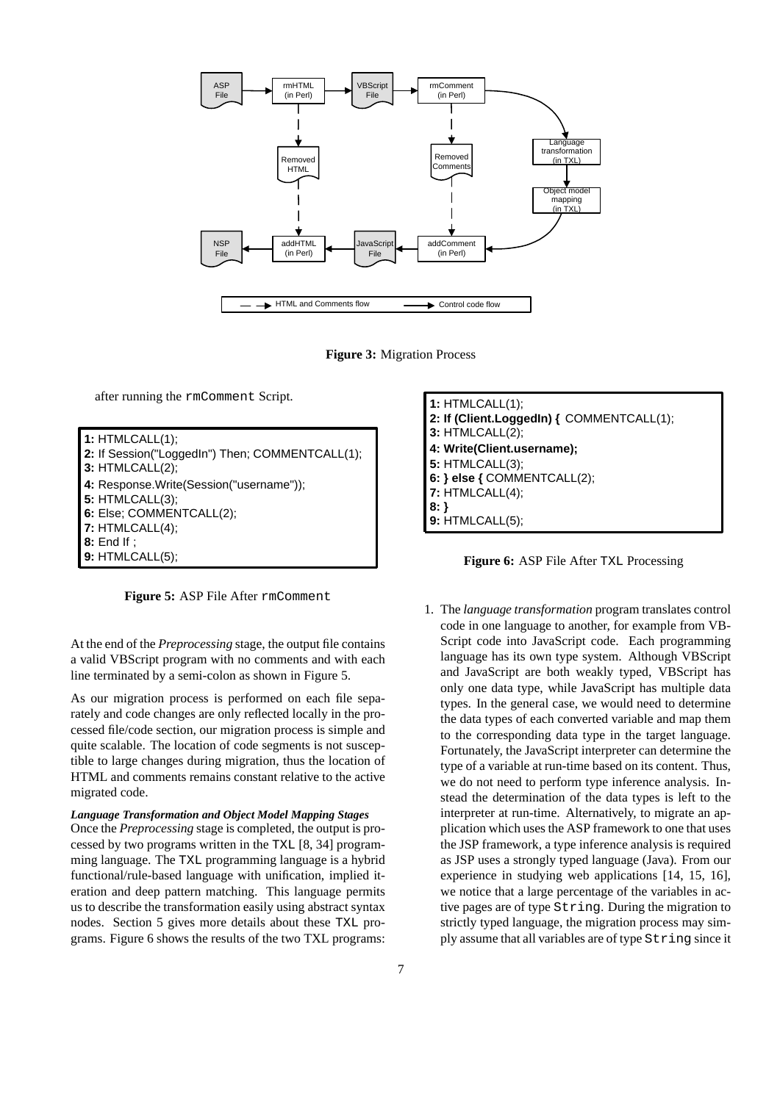

**Figure 3:** Migration Process

after running the rmComment Script.

| 1: $HTMLCALL(1)$ ;                              |
|-------------------------------------------------|
| 2: If Session("LoggedIn") Then; COMMENTCALL(1); |
| $3:$ HTMLCALL $(2)$ ;                           |
| 4: Response. Write (Session ("username"));      |
| $5:$ HTMLCALL $(3)$ ;                           |
| 6: Else; COMMENTCALL(2);                        |
| $7:$ HTMLCALL $(4)$ ;                           |
| $8:$ End If :                                   |
| $9:$ HTMLCALL $(5)$ ;                           |

**Figure 5:** ASP File After rmComment

At the end of the *Preprocessing* stage, the output file contains a valid VBScript program with no comments and with each line terminated by a semi-colon as shown in Figure 5.

As our migration process is performed on each file separately and code changes are only reflected locally in the processed file/code section, our migration process is simple and quite scalable. The location of code segments is not susceptible to large changes during migration, thus the location of HTML and comments remains constant relative to the active migrated code.

*Language Transformation and Object Model Mapping Stages* Once the *Preprocessing* stage is completed, the output is processed by two programs written in the TXL [8, 34] programming language. The TXL programming language is a hybrid functional/rule-based language with unification, implied iteration and deep pattern matching. This language permits us to describe the transformation easily using abstract syntax nodes. Section 5 gives more details about these TXL programs. Figure 6 shows the results of the two TXL programs:

| $1:$ HTMLCALL $(1);$<br>2: If (Client.LoggedIn) { COMMENTCALL(1); |
|-------------------------------------------------------------------|
| $3:$ HTMLCALL $(2);$                                              |
| 4: Write(Client.username);                                        |
| $5:$ HTMLCALL(3);                                                 |
| $6:$ } else { $COMMENTCALL(2);$                                   |
| 7: HTMLCALL(4);                                                   |
| $8:$ }                                                            |
| $9:$ HTMLCALL $(5)$ ;                                             |

**Figure 6:** ASP File After TXL Processing

1. The *language transformation* program translates control code in one language to another, for example from VB-Script code into JavaScript code. Each programming language has its own type system. Although VBScript and JavaScript are both weakly typed, VBScript has only one data type, while JavaScript has multiple data types. In the general case, we would need to determine the data types of each converted variable and map them to the corresponding data type in the target language. Fortunately, the JavaScript interpreter can determine the type of a variable at run-time based on its content. Thus, we do not need to perform type inference analysis. Instead the determination of the data types is left to the interpreter at run-time. Alternatively, to migrate an application which uses the ASP framework to one that uses the JSP framework, a type inference analysis is required as JSP uses a strongly typed language (Java). From our experience in studying web applications [14, 15, 16], we notice that a large percentage of the variables in active pages are of type String. During the migration to strictly typed language, the migration process may simply assume that all variables are of type String since it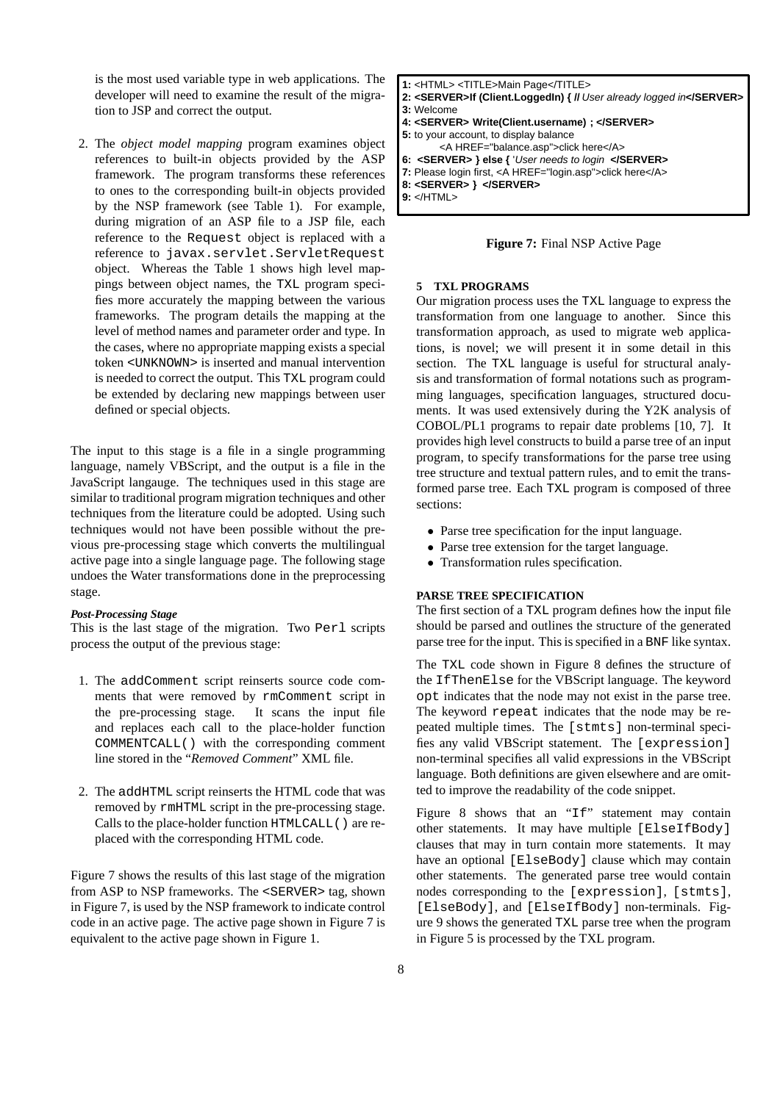is the most used variable type in web applications. The developer will need to examine the result of the migration to JSP and correct the output.

2. The *object model mapping* program examines object references to built-in objects provided by the ASP framework. The program transforms these references to ones to the corresponding built-in objects provided by the NSP framework (see Table 1). For example, during migration of an ASP file to a JSP file, each reference to the Request object is replaced with a reference to javax.servlet.ServletRequest object. Whereas the Table 1 shows high level mappings between object names, the TXL program specifies more accurately the mapping between the various frameworks. The program details the mapping at the level of method names and parameter order and type. In the cases, where no appropriate mapping exists a special token <UNKNOWN> is inserted and manual intervention is needed to correct the output. This TXL program could be extended by declaring new mappings between user defined or special objects. decolors with order operators in the active stress of the active stress of the active page shown in Figure 1. The active page shown in Figure 1. The active page shown in Figure 1. The active page shown in Figure 1. The sh

The input to this stage is a file in a single programming language, namely VBScript, and the output is a file in the JavaScript langauge. The techniques used in this stage are similar to traditional program migration techniques and other techniques from the literature could be adopted. Using such techniques would not have been possible without the previous pre-processing stage which converts the multilingual active page into a single language page. The following stage undoes the Water transformations done in the preprocessing stage.

#### *Post-Processing Stage*

This is the last stage of the migration. Two Perl scripts process the output of the previous stage:

- 1. The addComment script reinserts source code comments that were removed by rmComment script in the pre-processing stage. It scans the input file and replaces each call to the place-holder function COMMENTCALL() with the corresponding comment line stored in the "*Removed Comment*" XML file.
- 2. The addHTML script reinserts the HTML code that was removed by rmHTML script in the pre-processing stage. Calls to the place-holder function HTMLCALL() are replaced with the corresponding HTML code.

Figure 7 shows the results of this last stage of the migration from ASP to NSP frameworks. The <SERVER> tag, shown in Figure 7, is used by the NSP framework to indicate control code in an active page. The active page shown in Figure 7 is

**2: <SERVER>If (Client.LoggedIn) { //** User already logged in**</SERVER> 3:** Welcome **4: <SERVER> Write(Client.username) ; </SERVER> 5:** to your account, to display balance <A HREF="balance.asp">click here</A> **6: <SERVER> } else {** 'User needs to login **</SERVER> 7:** Please login first, <A HREF="login.asp">click here</A> **8: <SERVER> } </SERVER> 9:** </HTML>



#### **5 TXL PROGRAMS**

Our migration process uses the TXL language to express the transformation from one language to another. Since this transformation approach, as used to migrate web applications, is novel; we will present it in some detail in this section. The TXL language is useful for structural analysis and transformation of formal notations such as programming languages, specification languages, structured documents. It was used extensively during the Y2K analysis of COBOL/PL1 programs to repair date problems [10, 7]. It provides high level constructs to build a parse tree of an input program, to specify transformations for the parse tree using tree structure and textual pattern rules, and to emit the transformed parse tree. Each TXL program is composed of three sections:

- Parse tree specification for the input language.
- Parse tree extension for the target language.
- Transformation rules specification.

# **PARSE TREE SPECIFICATION**

The first section of a TXL program defines how the input file should be parsed and outlines the structure of the generated parse tree for the input. This is specified in a BNF like syntax.

The TXL code shown in Figure 8 defines the structure of the IfThenElse for the VBScript language. The keyword opt indicates that the node may not exist in the parse tree. The keyword repeat indicates that the node may be repeated multiple times. The [stmts] non-terminal specifies any valid VBScript statement. The [expression] non-terminal specifies all valid expressions in the VBScript language. Both definitions are given elsewhere and are omitted to improve the readability of the code snippet.

Figure 8 shows that an "If" statement may contain other statements. It may have multiple [ElseIfBody] clauses that may in turn contain more statements. It may have an optional [ElseBody] clause which may contain other statements. The generated parse tree would contain nodes corresponding to the [expression], [stmts], [ElseBody], and [ElseIfBody] non-terminals. Figure 9 shows the generated TXL parse tree when the program in Figure 5 is processed by the TXL program.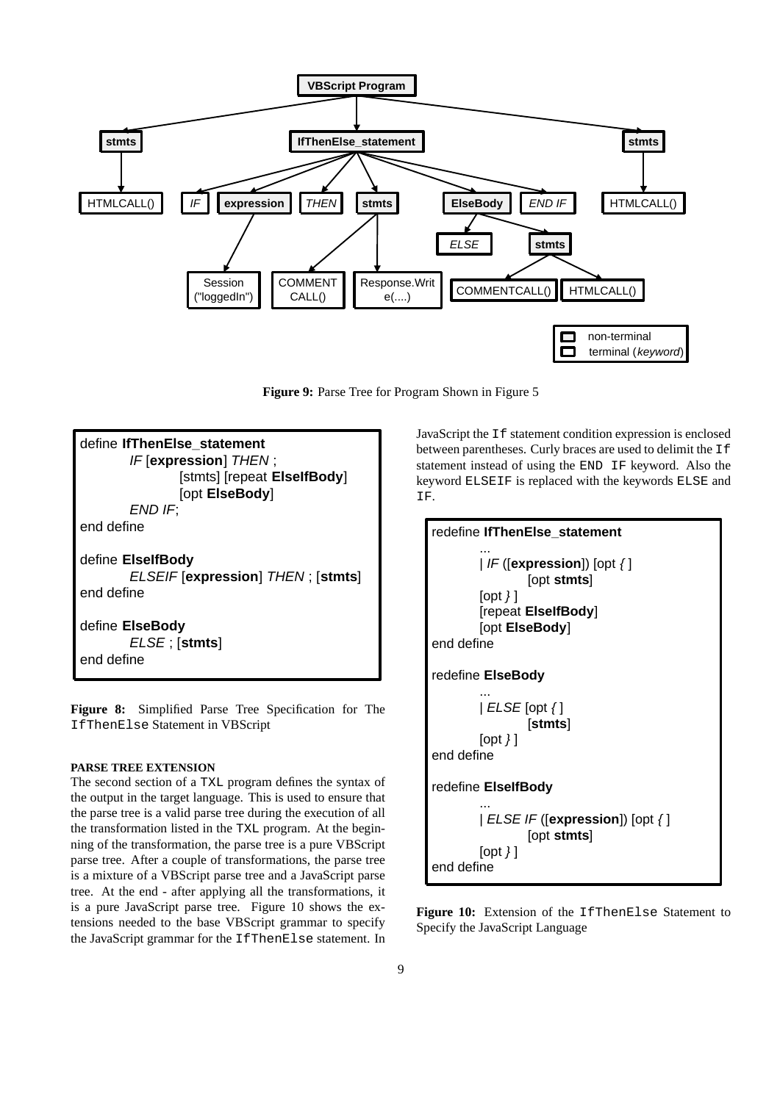

**Figure 9:** Parse Tree for Program Shown in Figure 5



**Figure 8:** Simplified Parse Tree Specification for The IfThenElse Statement in VBScript

# **PARSE TREE EXTENSION**

The second section of a TXL program defines the syntax of the output in the target language. This is used to ensure that the parse tree is a valid parse tree during the execution of all the transformation listed in the TXL program. At the beginning of the transformation, the parse tree is a pure VBScript parse tree. After a couple of transformations, the parse tree is a mixture of a VBScript parse tree and a JavaScript parse tree. At the end - after applying all the transformations, it is a pure JavaScript parse tree. Figure 10 shows the extensions needed to the base VBScript grammar to specify the JavaScript grammar for the IfThenElse statement. In JavaScript the If statement condition expression is enclosed between parentheses. Curly braces are used to delimit the If statement instead of using the END IF keyword. Also the keyword ELSEIF is replaced with the keywords ELSE and IF.

```
redefine IfThenElse_statement
        ...
        | IF ([expression]) [opt { ]
                [opt stmts]
        [opt][repeat ElseIfBody]
        [opt ElseBody]
end define
redefine ElseBody
        ...
        | ELSE [opt { ]
                [stmts]
        [opt]end define
redefine ElseIfBody
        ...
        | ELSE IF ([expression]) [opt { ]
                [opt stmts]
        [opt } ]
end define
```
**Figure 10:** Extension of the IfThenElse Statement to Specify the JavaScript Language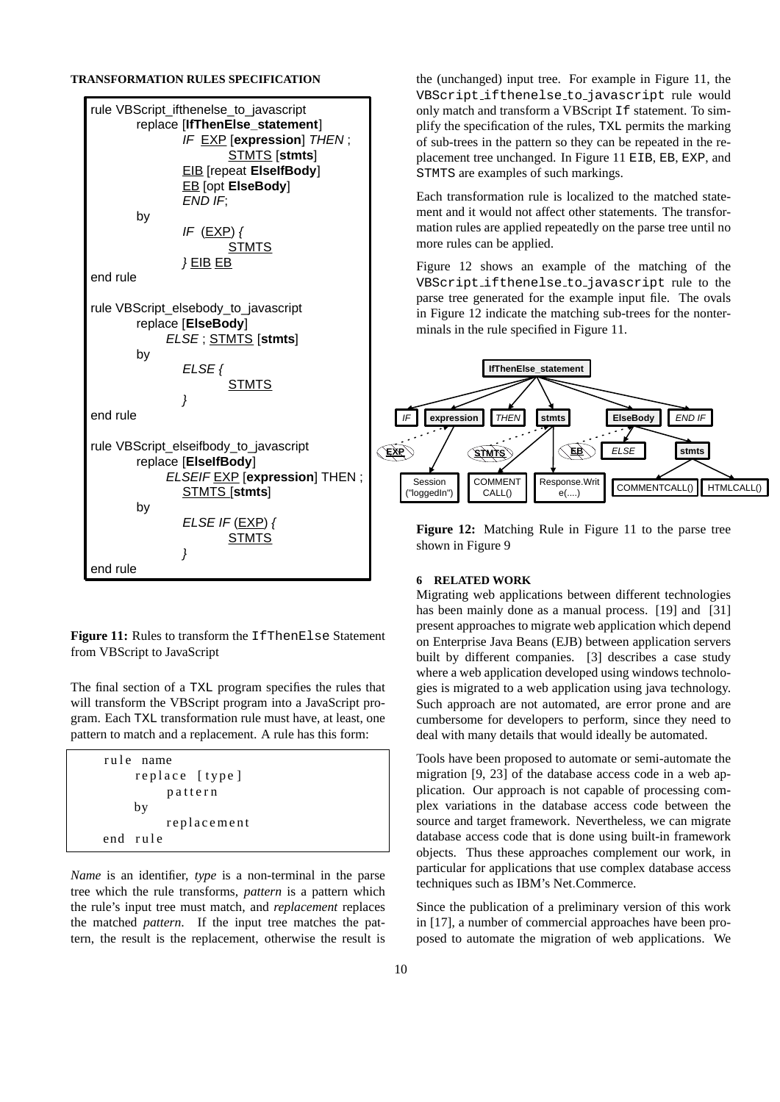# **TRANSFORMATION RULES SPECIFICATION**



Figure 11: Rules to transform the IfThenElse Statement from VBScript to JavaScript

The final section of a TXL program specifies the rules that will transform the VBScript program into a JavaScript program. Each TXL transformation rule must have, at least, one pattern to match and a replacement. A rule has this form:

```
rule name
    replace [type]
          p a t t e r n
    by
          replacement
end rule
```
*Name* is an identifier, *type* is a non-terminal in the parse tree which the rule transforms, *pattern* is a pattern which the rule's input tree must match, and *replacement* replaces the matched *pattern*. If the input tree matches the pattern, the result is the replacement, otherwise the result is the (unchanged) input tree. For example in Figure 11, the VBScript ifthenelse to javascript rule would only match and transform a VBScript If statement. To simplify the specification of the rules, TXL permits the marking of sub-trees in the pattern so they can be repeated in the replacement tree unchanged. In Figure 11 EIB, EB, EXP, and STMTS are examples of such markings.

Each transformation rule is localized to the matched statement and it would not affect other statements. The transformation rules are applied repeatedly on the parse tree until no more rules can be applied.

Figure 12 shows an example of the matching of the VBScript ifthenelse to javascript rule to the parse tree generated for the example input file. The ovals in Figure 12 indicate the matching sub-trees for the nonterminals in the rule specified in Figure 11.



**Figure 12:** Matching Rule in Figure 11 to the parse tree shown in Figure 9

# **6 RELATED WORK**

Migrating web applications between different technologies has been mainly done as a manual process. [19] and [31] present approaches to migrate web application which depend on Enterprise Java Beans (EJB) between application servers built by different companies. [3] describes a case study where a web application developed using windows technologies is migrated to a web application using java technology. Such approach are not automated, are error prone and are cumbersome for developers to perform, since they need to deal with many details that would ideally be automated.

Tools have been proposed to automate or semi-automate the migration [9, 23] of the database access code in a web application. Our approach is not capable of processing complex variations in the database access code between the source and target framework. Nevertheless, we can migrate database access code that is done using built-in framework objects. Thus these approaches complement our work, in particular for applications that use complex database access techniques such as IBM's Net.Commerce.

Since the publication of a preliminary version of this work in [17], a number of commercial approaches have been proposed to automate the migration of web applications. We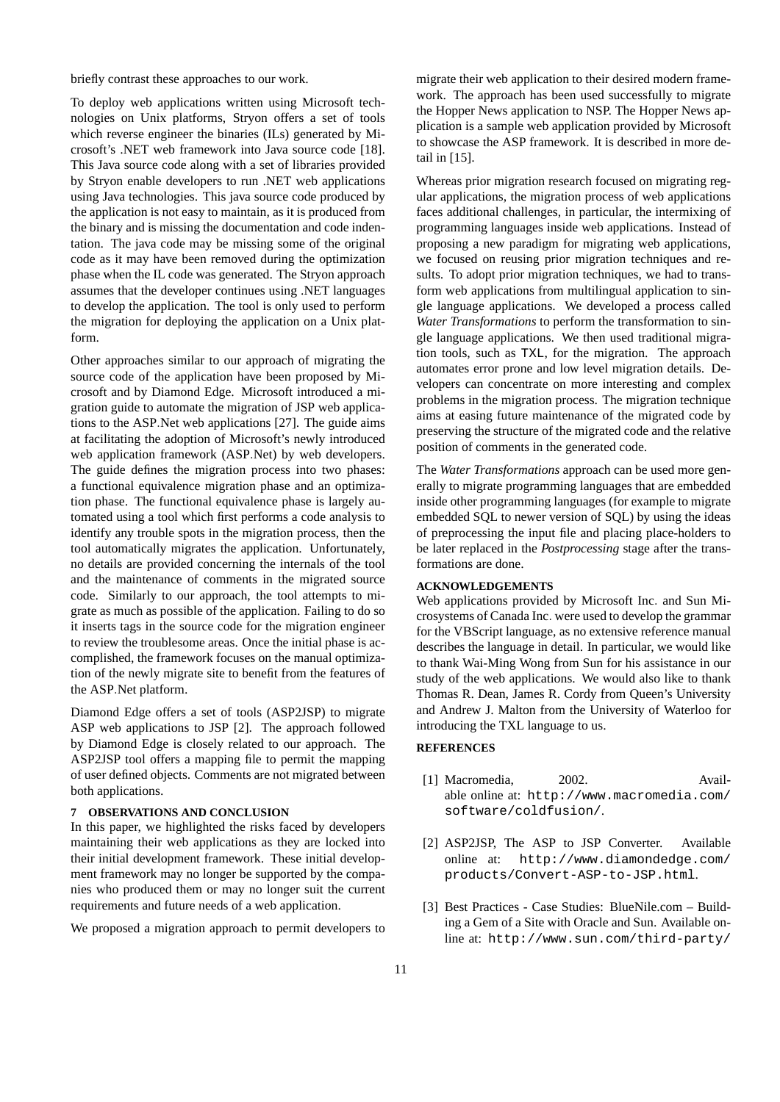briefly contrast these approaches to our work.

To deploy web applications written using Microsoft technologies on Unix platforms, Stryon offers a set of tools which reverse engineer the binaries (ILs) generated by Microsoft's .NET web framework into Java source code [18]. This Java source code along with a set of libraries provided by Stryon enable developers to run .NET web applications using Java technologies. This java source code produced by the application is not easy to maintain, as it is produced from the binary and is missing the documentation and code indentation. The java code may be missing some of the original code as it may have been removed during the optimization phase when the IL code was generated. The Stryon approach assumes that the developer continues using .NET languages to develop the application. The tool is only used to perform the migration for deploying the application on a Unix platform.

Other approaches similar to our approach of migrating the source code of the application have been proposed by Microsoft and by Diamond Edge. Microsoft introduced a migration guide to automate the migration of JSP web applications to the ASP.Net web applications [27]. The guide aims at facilitating the adoption of Microsoft's newly introduced web application framework (ASP.Net) by web developers. The guide defines the migration process into two phases: a functional equivalence migration phase and an optimization phase. The functional equivalence phase is largely automated using a tool which first performs a code analysis to identify any trouble spots in the migration process, then the tool automatically migrates the application. Unfortunately, no details are provided concerning the internals of the tool and the maintenance of comments in the migrated source code. Similarly to our approach, the tool attempts to migrate as much as possible of the application. Failing to do so it inserts tags in the source code for the migration engineer to review the troublesome areas. Once the initial phase is accomplished, the framework focuses on the manual optimization of the newly migrate site to benefit from the features of the ASP.Net platform.

Diamond Edge offers a set of tools (ASP2JSP) to migrate ASP web applications to JSP [2]. The approach followed by Diamond Edge is closely related to our approach. The ASP2JSP tool offers a mapping file to permit the mapping of user defined objects. Comments are not migrated between both applications.

# **7 OBSERVATIONS AND CONCLUSION**

In this paper, we highlighted the risks faced by developers maintaining their web applications as they are locked into their initial development framework. These initial development framework may no longer be supported by the companies who produced them or may no longer suit the current requirements and future needs of a web application.

We proposed a migration approach to permit developers to

migrate their web application to their desired modern framework. The approach has been used successfully to migrate the Hopper News application to NSP. The Hopper News application is a sample web application provided by Microsoft to showcase the ASP framework. It is described in more detail in [15].

Whereas prior migration research focused on migrating regular applications, the migration process of web applications faces additional challenges, in particular, the intermixing of programming languages inside web applications. Instead of proposing a new paradigm for migrating web applications, we focused on reusing prior migration techniques and results. To adopt prior migration techniques, we had to transform web applications from multilingual application to single language applications. We developed a process called *Water Transformations* to perform the transformation to single language applications. We then used traditional migration tools, such as TXL, for the migration. The approach automates error prone and low level migration details. Developers can concentrate on more interesting and complex problems in the migration process. The migration technique aims at easing future maintenance of the migrated code by preserving the structure of the migrated code and the relative position of comments in the generated code.

The *Water Transformations* approach can be used more generally to migrate programming languages that are embedded inside other programming languages (for example to migrate embedded SQL to newer version of SQL) by using the ideas of preprocessing the input file and placing place-holders to be later replaced in the *Postprocessing* stage after the transformations are done.

#### **ACKNOWLEDGEMENTS**

Web applications provided by Microsoft Inc. and Sun Microsystems of Canada Inc. were used to develop the grammar for the VBScript language, as no extensive reference manual describes the language in detail. In particular, we would like to thank Wai-Ming Wong from Sun for his assistance in our study of the web applications. We would also like to thank Thomas R. Dean, James R. Cordy from Queen's University and Andrew J. Malton from the University of Waterloo for introducing the TXL language to us.

# **REFERENCES**

- [1] Macromedia, 2002. Available online at: http://www.macromedia.com/ software/coldfusion/.
- [2] ASP2JSP, The ASP to JSP Converter. Available online at: http://www.diamondedge.com/ products/Convert-ASP-to-JSP.html.
- [3] Best Practices Case Studies: BlueNile.com Building a Gem of a Site with Oracle and Sun. Available online at: http://www.sun.com/third-party/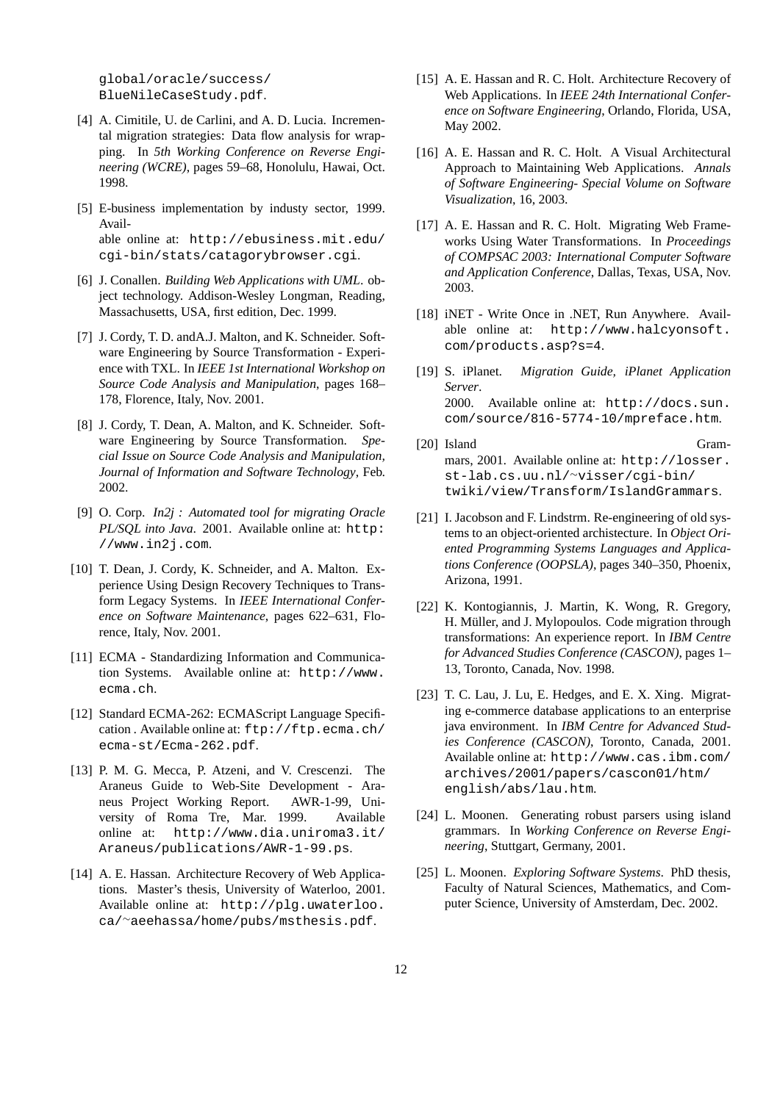global/oracle/success/ BlueNileCaseStudy.pdf.

- [4] A. Cimitile, U. de Carlini, and A. D. Lucia. Incremental migration strategies: Data flow analysis for wrapping. In *5th Working Conference on Reverse Engineering (WCRE)*, pages 59–68, Honolulu, Hawai, Oct. 1998.
- [5] E-business implementation by industy sector, 1999. Available online at: http://ebusiness.mit.edu/ cgi-bin/stats/catagorybrowser.cgi.
- [6] J. Conallen. *Building Web Applications with UML*. object technology. Addison-Wesley Longman, Reading, Massachusetts, USA, first edition, Dec. 1999.
- [7] J. Cordy, T. D. and A.J. Malton, and K. Schneider. Software Engineering by Source Transformation - Experience with TXL. In *IEEE 1st International Workshop on Source Code Analysis and Manipulation*, pages 168– 178, Florence, Italy, Nov. 2001.
- [8] J. Cordy, T. Dean, A. Malton, and K. Schneider. Software Engineering by Source Transformation. *Special Issue on Source Code Analysis and Manipulation, Journal of Information and Software Technology*, Feb. 2002.
- [9] O. Corp. *In2j : Automated tool for migrating Oracle PL/SQL into Java*. 2001. Available online at: http: //www.in2j.com.
- [10] T. Dean, J. Cordy, K. Schneider, and A. Malton. Experience Using Design Recovery Techniques to Transform Legacy Systems. In *IEEE International Conference on Software Maintenance*, pages 622–631, Florence, Italy, Nov. 2001.
- [11] ECMA Standardizing Information and Communication Systems. Available online at: http://www. ecma.ch.
- [12] Standard ECMA-262: ECMAScript Language Specification . Available online at: ftp://ftp.ecma.ch/ ecma-st/Ecma-262.pdf.
- [13] P. M. G. Mecca, P. Atzeni, and V. Crescenzi. The Araneus Guide to Web-Site Development - Araneus Project Working Report. AWR-1-99, University of Roma Tre, Mar. 1999. Available online at: http://www.dia.uniroma3.it/ Araneus/publications/AWR-1-99.ps.
- [14] A. E. Hassan. Architecture Recovery of Web Applications. Master's thesis, University of Waterloo, 2001. Available online at: http://plg.uwaterloo. ca/<sup>∼</sup>aeehassa/home/pubs/msthesis.pdf.
- [15] A. E. Hassan and R. C. Holt. Architecture Recovery of Web Applications. In *IEEE 24th International Conference on Software Engineering*, Orlando, Florida, USA, May 2002.
- [16] A. E. Hassan and R. C. Holt. A Visual Architectural Approach to Maintaining Web Applications. *Annals of Software Engineering- Special Volume on Software Visualization*, 16, 2003.
- [17] A. E. Hassan and R. C. Holt. Migrating Web Frameworks Using Water Transformations. In *Proceedings of COMPSAC 2003: International Computer Software and Application Conference*, Dallas, Texas, USA, Nov. 2003.
- [18] iNET Write Once in .NET, Run Anywhere. Available online at: http://www.halcyonsoft. com/products.asp?s=4.
- [19] S. iPlanet. *Migration Guide, iPlanet Application Server*. 2000. Available online at: http://docs.sun. com/source/816-5774-10/mpreface.htm.
- [20] Island Grammars, 2001. Available online at: http://losser. st-lab.cs.uu.nl/<sup>∼</sup>visser/cgi-bin/ twiki/view/Transform/IslandGrammars.
- [21] I. Jacobson and F. Lindstrm. Re-engineering of old systems to an object-oriented archistecture. In *Object Oriented Programming Systems Languages and Applications Conference (OOPSLA)*, pages 340–350, Phoenix, Arizona, 1991.
- [22] K. Kontogiannis, J. Martin, K. Wong, R. Gregory, H. Müller, and J. Mylopoulos. Code migration through transformations: An experience report. In *IBM Centre for Advanced Studies Conference (CASCON)*, pages 1– 13, Toronto, Canada, Nov. 1998.
- [23] T. C. Lau, J. Lu, E. Hedges, and E. X. Xing. Migrating e-commerce database applications to an enterprise java environment. In *IBM Centre for Advanced Studies Conference (CASCON)*, Toronto, Canada, 2001. Available online at: http://www.cas.ibm.com/ archives/2001/papers/cascon01/htm/ english/abs/lau.htm.
- [24] L. Moonen. Generating robust parsers using island grammars. In *Working Conference on Reverse Engineering*, Stuttgart, Germany, 2001.
- [25] L. Moonen. *Exploring Software Systems*. PhD thesis, Faculty of Natural Sciences, Mathematics, and Computer Science, University of Amsterdam, Dec. 2002.